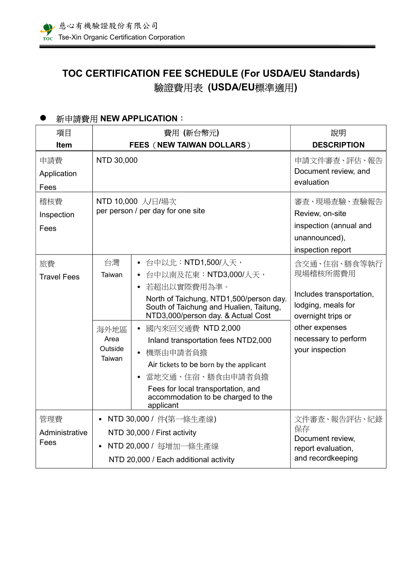# TOC CERTIFICATION FEE SCHEDULE (For USDA/EU Standards) 驗證費用表 (USDA/EU標準適用)

## ● 新申請費用 NEW APPLICATION:

| 項目                            | 費用(新台幣元)                                                                                                                |                                                                                                                                                                                                                                                                                                                                                                                                                       | 說明                                                                                                                                                            |
|-------------------------------|-------------------------------------------------------------------------------------------------------------------------|-----------------------------------------------------------------------------------------------------------------------------------------------------------------------------------------------------------------------------------------------------------------------------------------------------------------------------------------------------------------------------------------------------------------------|---------------------------------------------------------------------------------------------------------------------------------------------------------------|
| <b>Item</b>                   |                                                                                                                         | FEES (NEW TAIWAN DOLLARS)                                                                                                                                                                                                                                                                                                                                                                                             | <b>DESCRIPTION</b>                                                                                                                                            |
| 申請費<br>Application<br>Fees    | NTD 30,000                                                                                                              |                                                                                                                                                                                                                                                                                                                                                                                                                       | 申請文件審查、評估、報告<br>Document review, and<br>evaluation                                                                                                            |
| 稽核費<br>Inspection<br>Fees     | NTD 10,000 人/日/場次<br>per person / per day for one site                                                                  |                                                                                                                                                                                                                                                                                                                                                                                                                       | 審查、現場查驗、查驗報告<br>Review, on-site<br>inspection (annual and<br>unannounced),<br>inspection report                                                               |
| 旅費<br><b>Travel Fees</b>      | 台灣<br>Taiwan<br>海外地區<br>Area<br>Outside<br>Taiwan                                                                       | 台中以北:NTD1,500/人天,<br>台中以南及花東: NTD3,000/人天,<br>若超出以實際費用為準。<br>North of Taichung, NTD1,500/person day.<br>South of Taichung and Hualien, Taitung,<br>NTD3,000/person day. & Actual Cost<br>國內來回交通費 NTD 2,000<br>Inland transportation fees NTD2,000<br>機票由申請者負擔<br>Air tickets to be born by the applicant<br>當地交通、住宿、膳食由申請者負擔<br>Fees for local transportation, and<br>accommodation to be charged to the<br>applicant | 含交通、住宿、膳食等執行<br>現場稽核所需費用<br>Includes transportation,<br>lodging, meals for<br>overnight trips or<br>other expenses<br>necessary to perform<br>your inspection |
| 管理費<br>Administrative<br>Fees | NTD 30,000 / 件(第一條生產線)<br>NTD 30,000 / First activity<br>NTD 20,000 / 每增加一條生產線<br>NTD 20,000 / Each additional activity |                                                                                                                                                                                                                                                                                                                                                                                                                       | 文件審查、報告評估、紀錄<br>保存<br>Document review,<br>report evaluation,<br>and recordkeeping                                                                             |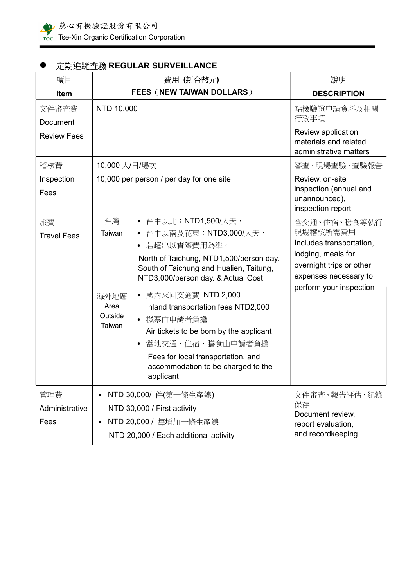

## ● 定期追蹤查驗 REGULAR SURVEILLANCE

| 項目                                      | 費用 (新台幣元)                                                                                                              |                                                                                                                                                                                                                                                                                                                                                                                                                                         | 說明                                                                                                                                                         |
|-----------------------------------------|------------------------------------------------------------------------------------------------------------------------|-----------------------------------------------------------------------------------------------------------------------------------------------------------------------------------------------------------------------------------------------------------------------------------------------------------------------------------------------------------------------------------------------------------------------------------------|------------------------------------------------------------------------------------------------------------------------------------------------------------|
| Item                                    | <b>FEES (NEW TAIWAN DOLLARS)</b>                                                                                       |                                                                                                                                                                                                                                                                                                                                                                                                                                         | <b>DESCRIPTION</b>                                                                                                                                         |
| 文件審查費<br>Document<br><b>Review Fees</b> | NTD 10,000                                                                                                             |                                                                                                                                                                                                                                                                                                                                                                                                                                         | 點檢驗證申請資料及相關<br>行政事項<br>Review application<br>materials and related<br>administrative matters                                                               |
| 稽核費                                     | 10,000 人/日/場次                                                                                                          |                                                                                                                                                                                                                                                                                                                                                                                                                                         | 審査、現場査驗、査驗報告                                                                                                                                               |
| Inspection<br>Fees                      | 10,000 per person / per day for one site                                                                               |                                                                                                                                                                                                                                                                                                                                                                                                                                         | Review, on-site<br>inspection (annual and<br>unannounced),<br>inspection report                                                                            |
| 旅費<br><b>Travel Fees</b>                | 台灣<br>Taiwan<br>海外地區<br>Area<br>Outside<br>Taiwan                                                                      | • 台中以北:NTD1,500/人天,<br>• 台中以南及花東:NTD3,000/人天,<br>若超出以實際費用為準。<br>North of Taichung, NTD1,500/person day.<br>South of Taichung and Hualien, Taitung,<br>NTD3,000/person day. & Actual Cost<br>國內來回交通費 NTD 2,000<br>$\bullet$<br>Inland transportation fees NTD2,000<br>• 機票由申請者負擔<br>Air tickets to be born by the applicant<br>當地交通、住宿、膳食由申請者負擔<br>Fees for local transportation, and<br>accommodation to be charged to the<br>applicant | 含交通、住宿、膳食等執行<br>現場稽核所需費用<br>Includes transportation,<br>lodging, meals for<br>overnight trips or other<br>expenses necessary to<br>perform your inspection |
| 管理費<br>Administrative<br>Fees           | NTD 30,000/ 件(第一條生產線)<br>NTD 30,000 / First activity<br>NTD 20,000 / 每增加一條生產線<br>NTD 20,000 / Each additional activity |                                                                                                                                                                                                                                                                                                                                                                                                                                         | 文件審查、報告評估、紀錄<br>保存<br>Document review,<br>report evaluation,<br>and recordkeeping                                                                          |